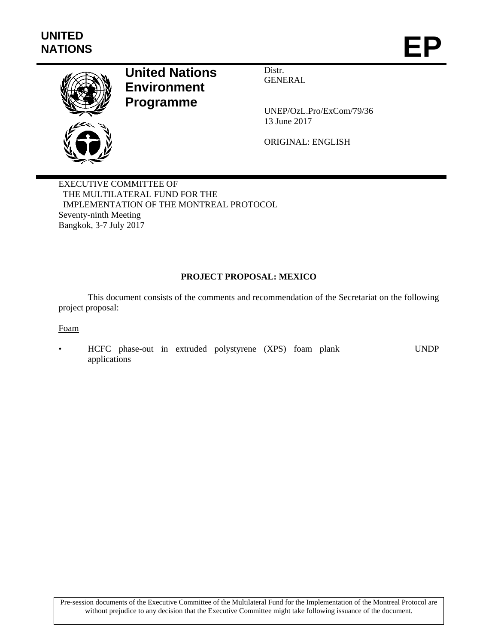

# **United Nations Environment Programme**

Distr. GENERAL

UNEP/OzL.Pro/ExCom/79/36 13 June 2017

ORIGINAL: ENGLISH

EXECUTIVE COMMITTEE OF THE MULTILATERAL FUND FOR THE IMPLEMENTATION OF THE MONTREAL PROTOCOL Seventy-ninth Meeting Bangkok, 3-7 July 2017

## **PROJECT PROPOSAL: MEXICO**

This document consists of the comments and recommendation of the Secretariat on the following project proposal:

Foam

• HCFC phase-out in extruded polystyrene (XPS) foam plank applications UNDP

Pre-session documents of the Executive Committee of the Multilateral Fund for the Implementation of the Montreal Protocol are without prejudice to any decision that the Executive Committee might take following issuance of the document.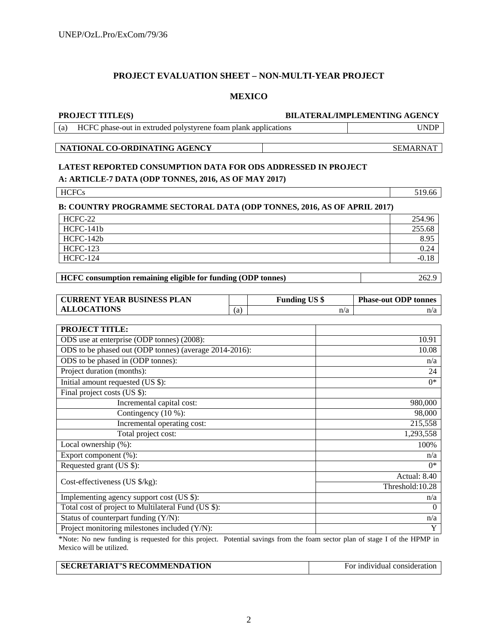#### **PROJECT EVALUATION SHEET – NON-MULTI-YEAR PROJECT**

#### **MEXICO**

#### **PROJECT TITLE(S) BILATERAL/IMPLEMENTING AGENCY**

(a) HCFC phase-out in extruded polystyrene foam plank applications UNDP

#### **NATIONAL CO-ORDINATING AGENCY** SEMARNAT

## **LATEST REPORTED CONSUMPTION DATA FOR ODS ADDRESSED IN PROJECT A: ARTICLE-7 DATA (ODP TONNES, 2016, AS OF MAY 2017)**

| <b>HCFCs</b>                                                                   | 519.66  |
|--------------------------------------------------------------------------------|---------|
| <b>B: COUNTRY PROGRAMME SECTORAL DATA (ODP TONNES, 2016, AS OF APRIL 2017)</b> |         |
| HCFC-22                                                                        | 254.96  |
| HCFC-141b                                                                      | 255.68  |
| HCFC-142b                                                                      | 8.95    |
| HCFC-123                                                                       | 0.24    |
| <b>HCFC-124</b>                                                                | $-0.18$ |

**HCFC consumption remaining eligible for funding (ODP tonnes)** 262.9

| <b>CURRENT YEAR BUSINESS PLAN</b> |     | <b>Funding US \$</b> | <b>Phase-out ODP tonnes</b> |
|-----------------------------------|-----|----------------------|-----------------------------|
| <b>ALLOCATIONS</b>                | (a) | n/a                  |                             |

| <b>PROJECT TITLE:</b>                                  |                  |
|--------------------------------------------------------|------------------|
| ODS use at enterprise (ODP tonnes) (2008):             | 10.91            |
| ODS to be phased out (ODP tonnes) (average 2014-2016): | 10.08            |
| ODS to be phased in (ODP tonnes):                      | n/a              |
| Project duration (months):                             | 24               |
| Initial amount requested (US \$):                      | $0^*$            |
| Final project costs (US \$):                           |                  |
| Incremental capital cost:                              | 980,000          |
| Contingency $(10\%)$ :                                 | 98,000           |
| Incremental operating cost:                            | 215,558          |
| Total project cost:                                    | 1,293,558        |
| Local ownership (%):                                   | 100%             |
| Export component (%):                                  | n/a              |
| Requested grant (US \$):                               | $0^*$            |
|                                                        | Actual: 8.40     |
| Cost-effectiveness (US $\frac{s}{kg}$ ):               | Threshold: 10.28 |
| Implementing agency support cost (US \$):              | n/a              |
| Total cost of project to Multilateral Fund (US \$):    | $\Omega$         |
| Status of counterpart funding (Y/N):                   | n/a              |
| Project monitoring milestones included (Y/N):          | Y                |

\*Note: No new funding is requested for this project. Potential savings from the foam sector plan of stage I of the HPMP in Mexico will be utilized.

| <b>SECRETARIAT'S RECOMMENDATION</b> | For individual consideration |
|-------------------------------------|------------------------------|
|                                     |                              |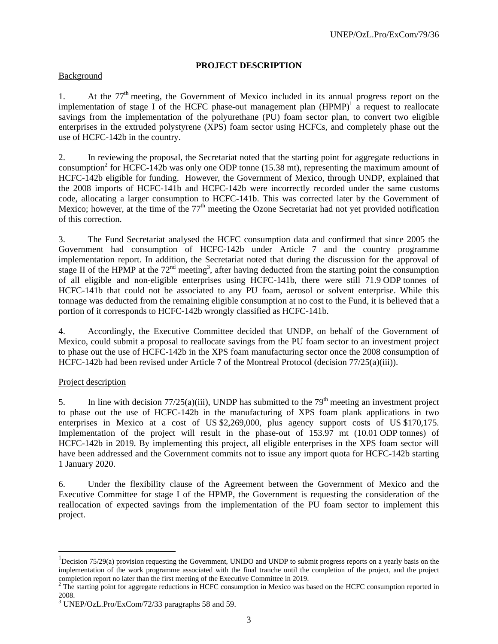## **PROJECT DESCRIPTION**

### **Background**

1. At the  $77<sup>th</sup>$  meeting, the Government of Mexico included in its annual progress report on the implementation of stage I of the HCFC phase-out management plan  $(HPMP)^1$  a request to reallocate savings from the implementation of the polyurethane (PU) foam sector plan, to convert two eligible enterprises in the extruded polystyrene (XPS) foam sector using HCFCs, and completely phase out the use of HCFC-142b in the country.

2. In reviewing the proposal, the Secretariat noted that the starting point for aggregate reductions in consumption<sup>2</sup> for HCFC-142b was only one ODP tonne (15.38 mt), representing the maximum amount of HCFC-142b eligible for funding. However, the Government of Mexico, through UNDP, explained that the 2008 imports of HCFC-141b and HCFC-142b were incorrectly recorded under the same customs code, allocating a larger consumption to HCFC-141b. This was corrected later by the Government of Mexico; however, at the time of the  $77<sup>th</sup>$  meeting the Ozone Secretariat had not yet provided notification of this correction.

3. The Fund Secretariat analysed the HCFC consumption data and confirmed that since 2005 the Government had consumption of HCFC-142b under Article 7 and the country programme implementation report. In addition, the Secretariat noted that during the discussion for the approval of stage II of the HPMP at the  $72<sup>nd</sup>$  meeting<sup>3</sup>, after having deducted from the starting point the consumption of all eligible and non-eligible enterprises using HCFC-141b, there were still 71.9 ODP tonnes of HCFC-141b that could not be associated to any PU foam, aerosol or solvent enterprise. While this tonnage was deducted from the remaining eligible consumption at no cost to the Fund, it is believed that a portion of it corresponds to HCFC-142b wrongly classified as HCFC-141b.

4. Accordingly, the Executive Committee decided that UNDP, on behalf of the Government of Mexico, could submit a proposal to reallocate savings from the PU foam sector to an investment project to phase out the use of HCFC-142b in the XPS foam manufacturing sector once the 2008 consumption of HCFC-142b had been revised under Article 7 of the Montreal Protocol (decision 77/25(a)(iii)).

### Project description

l

5. In line with decision  $77/25(a)(iii)$ , UNDP has submitted to the  $79<sup>th</sup>$  meeting an investment project to phase out the use of HCFC-142b in the manufacturing of XPS foam plank applications in two enterprises in Mexico at a cost of US \$2,269,000, plus agency support costs of US \$170,175. Implementation of the project will result in the phase-out of 153.97 mt (10.01 ODP tonnes) of HCFC-142b in 2019. By implementing this project, all eligible enterprises in the XPS foam sector will have been addressed and the Government commits not to issue any import quota for HCFC-142b starting 1 January 2020.

6. Under the flexibility clause of the Agreement between the Government of Mexico and the Executive Committee for stage I of the HPMP, the Government is requesting the consideration of the reallocation of expected savings from the implementation of the PU foam sector to implement this project.

 $1$ Decision 75/29(a) provision requesting the Government, UNIDO and UNDP to submit progress reports on a yearly basis on the implementation of the work programme associated with the final tranche until the completion of the project, and the project completion report no later than the first meeting of the Executive Committee in 2019.

 $2$  The starting point for aggregate reductions in HCFC consumption in Mexico was based on the HCFC consumption reported in 2008.

<sup>&</sup>lt;sup>3</sup> UNEP/OzL.Pro/ExCom/72/33 paragraphs 58 and 59.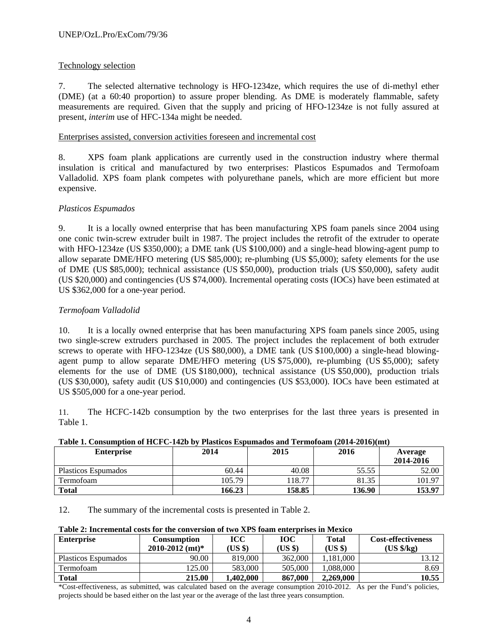## Technology selection

7. The selected alternative technology is HFO-1234ze, which requires the use of di-methyl ether (DME) (at a 60:40 proportion) to assure proper blending. As DME is moderately flammable, safety measurements are required. Given that the supply and pricing of HFO-1234ze is not fully assured at present, *interim* use of HFC-134a might be needed.

## Enterprises assisted, conversion activities foreseen and incremental cost

8. XPS foam plank applications are currently used in the construction industry where thermal insulation is critical and manufactured by two enterprises: Plasticos Espumados and Termofoam Valladolid. XPS foam plank competes with polyurethane panels, which are more efficient but more expensive.

## *Plasticos Espumados*

9. It is a locally owned enterprise that has been manufacturing XPS foam panels since 2004 using one conic twin-screw extruder built in 1987. The project includes the retrofit of the extruder to operate with HFO-1234ze (US \$350,000); a DME tank (US \$100,000) and a single-head blowing-agent pump to allow separate DME/HFO metering (US \$85,000); re-plumbing (US \$5,000); safety elements for the use of DME (US \$85,000); technical assistance (US \$50,000), production trials (US \$50,000), safety audit (US \$20,000) and contingencies (US \$74,000). Incremental operating costs (IOCs) have been estimated at US \$362,000 for a one-year period.

## *Termofoam Valladolid*

10. It is a locally owned enterprise that has been manufacturing XPS foam panels since 2005, using two single-screw extruders purchased in 2005. The project includes the replacement of both extruder screws to operate with HFO-1234ze (US \$80,000), a DME tank (US \$100,000) a single-head blowingagent pump to allow separate DME/HFO metering (US \$75,000), re-plumbing (US \$5,000); safety elements for the use of DME (US \$180,000), technical assistance (US \$50,000), production trials (US \$30,000), safety audit (US \$10,000) and contingencies (US \$53,000). IOCs have been estimated at US \$505,000 for a one-year period.

11. The HCFC-142b consumption by the two enterprises for the last three years is presented in Table 1.

| Table 1. Consumption of HCFC-1420 by 1 lasticos espumatios and Termoloam (2014-2010)(Int)<br>2016 |        |        |        |           |  |  |  |  |
|---------------------------------------------------------------------------------------------------|--------|--------|--------|-----------|--|--|--|--|
| <b>Enterprise</b>                                                                                 | 2014   | 2015   |        | Average   |  |  |  |  |
|                                                                                                   |        |        |        | 2014-2016 |  |  |  |  |
| Plasticos Espumados                                                                               | 60.44  | 40.08  | 55.55  | 52.00     |  |  |  |  |
| Termofoam                                                                                         | 105.79 | 18.77  | 81.35  | 101.97    |  |  |  |  |
| <b>Total</b>                                                                                      | 166.23 | 158.85 | 136.90 | 153.97    |  |  |  |  |

## **Table 1. Consumption of HCFC-142b by Plasticos Espumados and Termofoam (2014-2016)(mt)**

12. The summary of the incremental costs is presented in Table 2.

### **Table 2: Incremental costs for the conversion of two XPS foam enterprises in Mexico**

| <b>Enterprise</b>   | <b>Consumption</b>              | <b>ICC</b> | <b>TOC</b> | Total     | <b>Cost-effectiveness</b> |
|---------------------|---------------------------------|------------|------------|-----------|---------------------------|
|                     | $2010 - 2012$ (mt) <sup>*</sup> | (US \$)    | (US \$)    | (US \$)   | (US \$/kg)                |
| Plasticos Espumados | 90.00                           | 819,000    | 362,000    | 1.181.000 | 13.12                     |
| Termofoam           | 125.00                          | 583,000    | 505,000    | 1.088.000 | 8.69                      |
| Total               | 215.00                          | 1,402,000  | 867,000    | 2,269,000 | 10.55                     |

\*Cost-effectiveness, as submitted, was calculated based on the average consumption 2010-2012. As per the Fund's policies, projects should be based either on the last year or the average of the last three years consumption.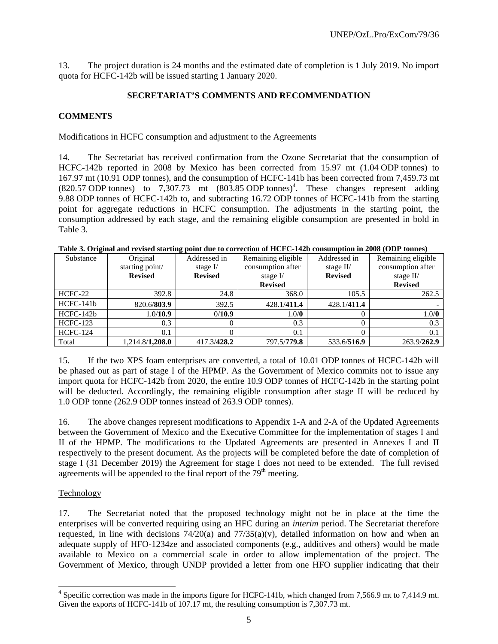13. The project duration is 24 months and the estimated date of completion is 1 July 2019. No import quota for HCFC-142b will be issued starting 1 January 2020.

### **SECRETARIAT'S COMMENTS AND RECOMMENDATION**

#### **COMMENTS**

#### Modifications in HCFC consumption and adjustment to the Agreements

14. The Secretariat has received confirmation from the Ozone Secretariat that the consumption of HCFC-142b reported in 2008 by Mexico has been corrected from 15.97 mt (1.04 ODP tonnes) to 167.97 mt (10.91 ODP tonnes), and the consumption of HCFC-141b has been corrected from 7,459.73 mt  $(820.57 \text{ ODP} \text{ tonnes})$  to 7,307.73 mt  $(803.85 \text{ ODP} \text{ tonnes})^4$ . These changes represent adding 9.88 ODP tonnes of HCFC-142b to, and subtracting 16.72 ODP tonnes of HCFC-141b from the starting point for aggregate reductions in HCFC consumption. The adjustments in the starting point, the consumption addressed by each stage, and the remaining eligible consumption are presented in bold in Table 3.

| Substance       | Original                | Addressed in   | Remaining eligible | Addressed in   | Remaining eligible |
|-----------------|-------------------------|----------------|--------------------|----------------|--------------------|
|                 | starting point/         | stage $I/$     | consumption after  | stage $II/$    | consumption after  |
|                 | <b>Revised</b>          | <b>Revised</b> | stage $I/$         | <b>Revised</b> | stage $II/$        |
|                 |                         |                | <b>Revised</b>     |                | <b>Revised</b>     |
| HCFC-22         | 392.8                   | 24.8           | 368.0              | 105.5          | 262.5              |
| $HCFC-141b$     | 820.6/803.9             | 392.5          | 428.1/411.4        | 428.1/411.4    |                    |
| $HCFC-142b$     | 1.0/10.9                | 0/10.9         | 1.0/0              |                | 1.0/0              |
| <b>HCFC-123</b> | 0.3                     |                | 0.3                |                | 0.3                |
| <b>HCFC-124</b> | 0.1                     |                | 0.1                |                | 0.1                |
| Total           | 1,214.8/ <b>1,208.0</b> | 417.3/428.2    | 797.5/779.8        | 533.6/516.9    | 263.9/262.9        |

#### **Table 3. Original and revised starting point due to correction of HCFC-142b consumption in 2008 (ODP tonnes)**

15. If the two XPS foam enterprises are converted, a total of 10.01 ODP tonnes of HCFC-142b will be phased out as part of stage I of the HPMP. As the Government of Mexico commits not to issue any import quota for HCFC-142b from 2020, the entire 10.9 ODP tonnes of HCFC-142b in the starting point will be deducted. Accordingly, the remaining eligible consumption after stage II will be reduced by 1.0 ODP tonne (262.9 ODP tonnes instead of 263.9 ODP tonnes).

16. The above changes represent modifications to Appendix 1-A and 2-A of the Updated Agreements between the Government of Mexico and the Executive Committee for the implementation of stages I and II of the HPMP. The modifications to the Updated Agreements are presented in Annexes I and II respectively to the present document. As the projects will be completed before the date of completion of stage I (31 December 2019) the Agreement for stage I does not need to be extended. The full revised agreements will be appended to the final report of the  $79<sup>th</sup>$  meeting.

#### Technology

l

17. The Secretariat noted that the proposed technology might not be in place at the time the enterprises will be converted requiring using an HFC during an *interim* period. The Secretariat therefore requested, in line with decisions  $74/20(a)$  and  $77/35(a)(v)$ , detailed information on how and when an adequate supply of HFO-1234ze and associated components (e.g., additives and others) would be made available to Mexico on a commercial scale in order to allow implementation of the project. The Government of Mexico, through UNDP provided a letter from one HFO supplier indicating that their

<sup>&</sup>lt;sup>4</sup> Specific correction was made in the imports figure for HCFC-141b, which changed from 7,566.9 mt to 7,414.9 mt. Given the exports of HCFC-141b of 107.17 mt, the resulting consumption is 7,307.73 mt.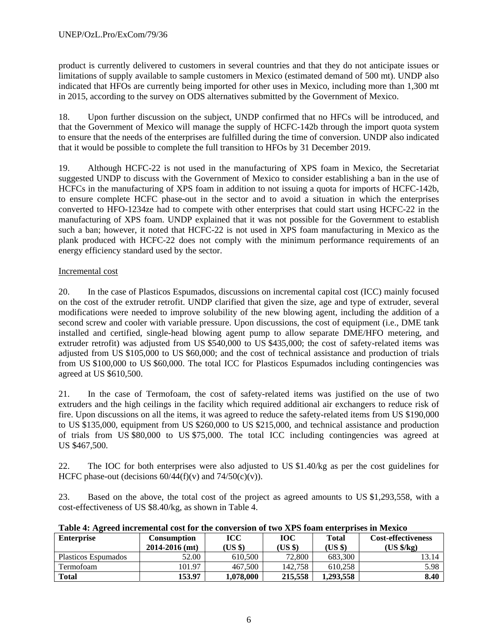product is currently delivered to customers in several countries and that they do not anticipate issues or limitations of supply available to sample customers in Mexico (estimated demand of 500 mt). UNDP also indicated that HFOs are currently being imported for other uses in Mexico, including more than 1,300 mt in 2015, according to the survey on ODS alternatives submitted by the Government of Mexico.

18. Upon further discussion on the subject, UNDP confirmed that no HFCs will be introduced, and that the Government of Mexico will manage the supply of HCFC-142b through the import quota system to ensure that the needs of the enterprises are fulfilled during the time of conversion. UNDP also indicated that it would be possible to complete the full transition to HFOs by 31 December 2019.

19. Although HCFC-22 is not used in the manufacturing of XPS foam in Mexico, the Secretariat suggested UNDP to discuss with the Government of Mexico to consider establishing a ban in the use of HCFCs in the manufacturing of XPS foam in addition to not issuing a quota for imports of HCFC-142b, to ensure complete HCFC phase-out in the sector and to avoid a situation in which the enterprises converted to HFO-1234ze had to compete with other enterprises that could start using HCFC-22 in the manufacturing of XPS foam. UNDP explained that it was not possible for the Government to establish such a ban; however, it noted that HCFC-22 is not used in XPS foam manufacturing in Mexico as the plank produced with HCFC-22 does not comply with the minimum performance requirements of an energy efficiency standard used by the sector.

## Incremental cost

20. In the case of Plasticos Espumados, discussions on incremental capital cost (ICC) mainly focused on the cost of the extruder retrofit. UNDP clarified that given the size, age and type of extruder, several modifications were needed to improve solubility of the new blowing agent, including the addition of a second screw and cooler with variable pressure. Upon discussions, the cost of equipment (i.e., DME tank installed and certified, single-head blowing agent pump to allow separate DME/HFO metering, and extruder retrofit) was adjusted from US \$540,000 to US \$435,000; the cost of safety-related items was adjusted from US \$105,000 to US \$60,000; and the cost of technical assistance and production of trials from US \$100,000 to US \$60,000. The total ICC for Plasticos Espumados including contingencies was agreed at US \$610,500.

21. In the case of Termofoam, the cost of safety-related items was justified on the use of two extruders and the high ceilings in the facility which required additional air exchangers to reduce risk of fire. Upon discussions on all the items, it was agreed to reduce the safety-related items from US \$190,000 to US \$135,000, equipment from US \$260,000 to US \$215,000, and technical assistance and production of trials from US \$80,000 to US \$75,000. The total ICC including contingencies was agreed at US \$467,500.

22. The IOC for both enterprises were also adjusted to US \$1.40/kg as per the cost guidelines for HCFC phase-out (decisions  $60/44(f)(v)$  and  $74/50(c)(v)$ ).

23. Based on the above, the total cost of the project as agreed amounts to US \$1,293,558, with a cost-effectiveness of US \$8.40/kg, as shown in Table 4.

| Tuble is tracted the emergency for the conversion of two trip found cheer prises in Mexico |                    |        |         |         |                           |
|--------------------------------------------------------------------------------------------|--------------------|--------|---------|---------|---------------------------|
| <b>Enterprise</b>                                                                          | Consumption        | ІСС    | юс      | Total   | <b>Cost-effectiveness</b> |
|                                                                                            | $2014 - 2016$ (mt) | US \$) | (US \$) | (US \$) | [US \$/kg]                |

**Table 4: Agreed incremental cost for the conversion of two XPS foam enterprises in Mexico**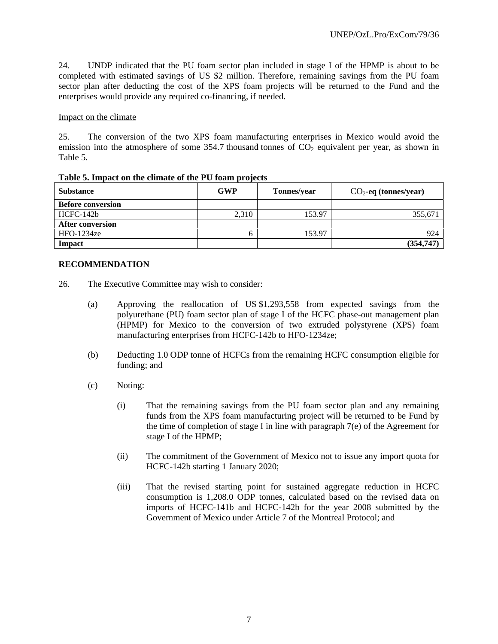24. UNDP indicated that the PU foam sector plan included in stage I of the HPMP is about to be completed with estimated savings of US \$2 million. Therefore, remaining savings from the PU foam sector plan after deducting the cost of the XPS foam projects will be returned to the Fund and the enterprises would provide any required co-financing, if needed.

#### Impact on the climate

25. The conversion of the two XPS foam manufacturing enterprises in Mexico would avoid the emission into the atmosphere of some 354.7 thousand tonnes of  $CO<sub>2</sub>$  equivalent per year, as shown in Table 5.

| <b>Substance</b>         | <b>GWP</b> | Tonnes/year | $CO2$ -eq (tonnes/year) |
|--------------------------|------------|-------------|-------------------------|
| <b>Before conversion</b> |            |             |                         |
| HCFC-142b                | 2,310      | 153.97      | 355,671                 |
| <b>After conversion</b>  |            |             |                         |
| $HFO-1234ze$             |            | 153.97      | 924                     |
| Impact                   |            |             | (354, 747)              |

#### **Table 5. Impact on the climate of the PU foam projects**

### **RECOMMENDATION**

- 26. The Executive Committee may wish to consider:
	- (a) Approving the reallocation of US \$1,293,558 from expected savings from the polyurethane (PU) foam sector plan of stage I of the HCFC phase-out management plan (HPMP) for Mexico to the conversion of two extruded polystyrene (XPS) foam manufacturing enterprises from HCFC-142b to HFO-1234ze;
	- (b) Deducting 1.0 ODP tonne of HCFCs from the remaining HCFC consumption eligible for funding; and
	- (c) Noting:
		- (i) That the remaining savings from the PU foam sector plan and any remaining funds from the XPS foam manufacturing project will be returned to be Fund by the time of completion of stage I in line with paragraph 7(e) of the Agreement for stage I of the HPMP;
		- (ii) The commitment of the Government of Mexico not to issue any import quota for HCFC-142b starting 1 January 2020;
		- (iii) That the revised starting point for sustained aggregate reduction in HCFC consumption is 1,208.0 ODP tonnes, calculated based on the revised data on imports of HCFC-141b and HCFC-142b for the year 2008 submitted by the Government of Mexico under Article 7 of the Montreal Protocol; and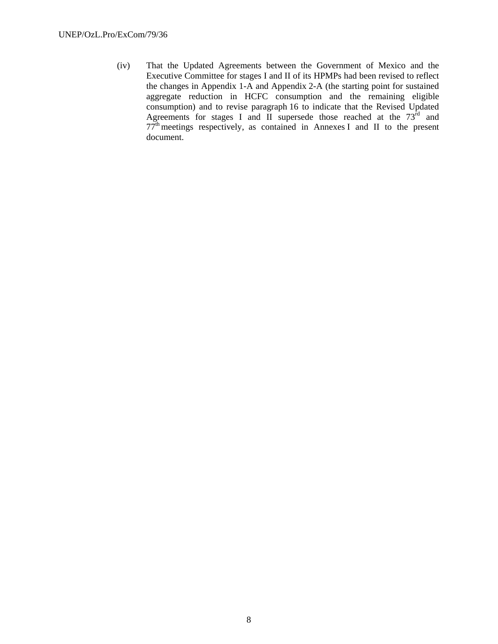(iv) That the Updated Agreements between the Government of Mexico and the Executive Committee for stages I and II of its HPMPs had been revised to reflect the changes in Appendix 1-A and Appendix 2-A (the starting point for sustained aggregate reduction in HCFC consumption and the remaining eligible consumption) and to revise paragraph 16 to indicate that the Revised Updated Agreements for stages I and II supersede those reached at the  $73<sup>rd</sup>$  and  $77<sup>th</sup>$  meetings respectively, as contained in Annexes I and II to the present document.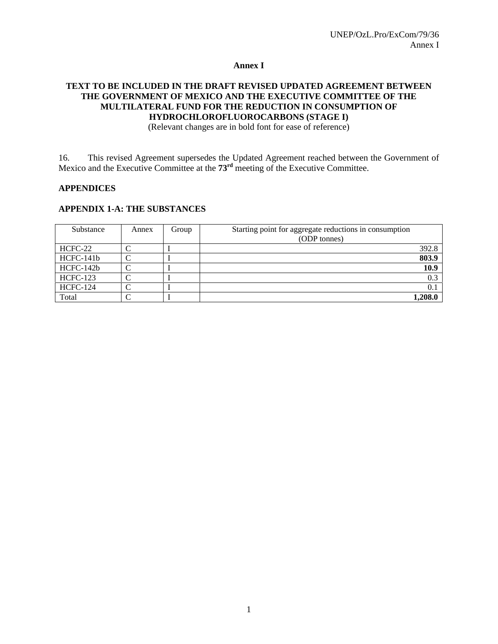#### **Annex I**

## **TEXT TO BE INCLUDED IN THE DRAFT REVISED UPDATED AGREEMENT BETWEEN THE GOVERNMENT OF MEXICO AND THE EXECUTIVE COMMITTEE OF THE MULTILATERAL FUND FOR THE REDUCTION IN CONSUMPTION OF HYDROCHLOROFLUOROCARBONS (STAGE I)**

(Relevant changes are in bold font for ease of reference)

16. This revised Agreement supersedes the Updated Agreement reached between the Government of Mexico and the Executive Committee at the **73rd** meeting of the Executive Committee.

#### **APPENDICES**

#### **APPENDIX 1-A: THE SUBSTANCES**

| Substance       | Annex | Group | Starting point for aggregate reductions in consumption |         |
|-----------------|-------|-------|--------------------------------------------------------|---------|
|                 |       |       | (ODP tonnes)                                           |         |
| HCFC-22         |       |       |                                                        | 392.8   |
| HCFC-141b       |       |       |                                                        | 803.9   |
| HCFC-142b       |       |       |                                                        | 10.9    |
| <b>HCFC-123</b> |       |       |                                                        | 0.3     |
| <b>HCFC-124</b> |       |       |                                                        | 0.1     |
| Total           |       |       |                                                        | 1,208.0 |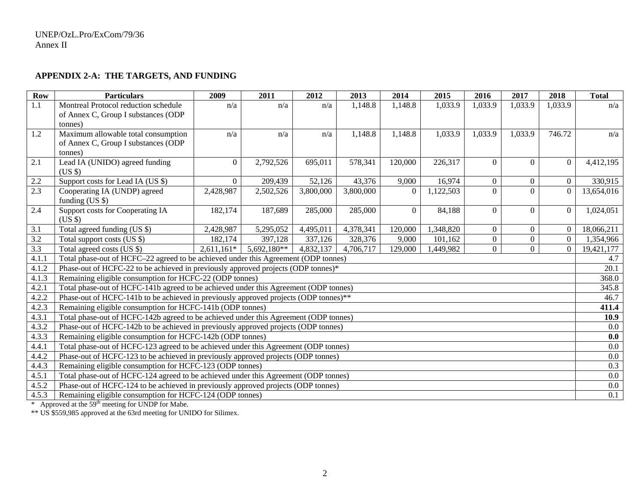## **APPENDIX 2-A: THE TARGETS, AND FUNDING**

| <b>Row</b> | <b>Particulars</b>                                                                   | 2009           | 2011        | 2012      | 2013      | 2014             | 2015      | 2016           | 2017             | 2018           | <b>Total</b> |
|------------|--------------------------------------------------------------------------------------|----------------|-------------|-----------|-----------|------------------|-----------|----------------|------------------|----------------|--------------|
| 1.1        | Montreal Protocol reduction schedule                                                 | n/a            | n/a         | n/a       | 1,148.8   | 1,148.8          | 1,033.9   | 1,033.9        | 1,033.9          | 1,033.9        | n/a          |
|            | of Annex C, Group I substances (ODP                                                  |                |             |           |           |                  |           |                |                  |                |              |
|            | tonnes)                                                                              |                |             |           |           |                  |           |                |                  |                |              |
| 1.2        | Maximum allowable total consumption                                                  | n/a            | n/a         | n/a       | 1,148.8   | 1,148.8          | 1,033.9   | 1,033.9        | 1,033.9          | 746.72         | n/a          |
|            | of Annex C, Group I substances (ODP                                                  |                |             |           |           |                  |           |                |                  |                |              |
|            | (tonnes)                                                                             |                |             |           |           |                  |           |                |                  |                |              |
| 2.1        | Lead IA (UNIDO) agreed funding                                                       | $\overline{0}$ | 2,792,526   | 695,011   | 578,341   | 120,000          | 226,317   | $\theta$       | $\Omega$         | $\overline{0}$ | 4,412,195    |
| 2.2        | $(US \$<br>Support costs for Lead IA (US \$)                                         | $\overline{0}$ | 209,439     | 52,126    | 43,376    | 9,000            | 16,974    | $\overline{0}$ | $\boldsymbol{0}$ | $\overline{0}$ | 330,915      |
| 2.3        | Cooperating IA (UNDP) agreed                                                         | 2,428,987      | 2,502,526   | 3,800,000 | 3,800,000 | $\mathbf{0}$     | 1,122,503 | $\Omega$       | $\Omega$         | $\overline{0}$ | 13,654,016   |
|            | funding $(US \$                                                                      |                |             |           |           |                  |           |                |                  |                |              |
| 2.4        | Support costs for Cooperating IA                                                     | 182,174        | 187,689     | 285,000   | 285,000   | $\boldsymbol{0}$ | 84,188    | $\Omega$       | $\Omega$         | $\overline{0}$ | 1,024,051    |
|            | $(US \$                                                                              |                |             |           |           |                  |           |                |                  |                |              |
| 3.1        | Total agreed funding (US \$)                                                         | 2,428,987      | 5,295,052   | 4,495,011 | 4,378,341 | 120,000          | 1,348,820 | $\overline{0}$ | $\mathbf{0}$     | $\overline{0}$ | 18,066,211   |
| 3.2        | Total support costs (US \$)                                                          | 182,174        | 397,128     | 337,126   | 328,376   | 9,000            | 101,162   | $\overline{0}$ | $\overline{0}$   | $\overline{0}$ | 1,354,966    |
| 3.3        | Total agreed costs (US \$)                                                           | $2,611,161*$   | 5,692,180** | 4,832,137 | 4,706,717 | 129,000          | ,449,982  | $\overline{0}$ | $\boldsymbol{0}$ | $\overline{0}$ | 19,421,177   |
| 4.1.1      | Total phase-out of HCFC-22 agreed to be achieved under this Agreement (ODP tonnes)   |                |             |           |           |                  |           |                |                  |                | 4.7          |
| 4.1.2      | Phase-out of HCFC-22 to be achieved in previously approved projects (ODP tonnes)*    |                |             |           |           |                  |           |                |                  |                | 20.1         |
| 4.1.3      | Remaining eligible consumption for HCFC-22 (ODP tonnes)                              |                |             |           |           |                  |           |                |                  |                | 368.0        |
| 4.2.1      | Total phase-out of HCFC-141b agreed to be achieved under this Agreement (ODP tonnes) |                |             |           |           |                  |           |                |                  |                | 345.8        |
| 4.2.2      | Phase-out of HCFC-141b to be achieved in previously approved projects (ODP tonnes)** |                |             |           |           |                  |           |                |                  |                | 46.7         |
| 4.2.3      | Remaining eligible consumption for HCFC-141b (ODP tonnes)                            |                |             |           |           |                  |           |                |                  |                | 411.4        |
| 4.3.1      | Total phase-out of HCFC-142b agreed to be achieved under this Agreement (ODP tonnes) |                |             |           |           |                  |           |                |                  |                | 10.9         |
| 4.3.2      | Phase-out of HCFC-142b to be achieved in previously approved projects (ODP tonnes)   |                |             |           |           |                  |           | 0.0            |                  |                |              |
| 4.3.3      | Remaining eligible consumption for HCFC-142b (ODP tonnes)                            |                |             |           |           |                  |           | 0.0            |                  |                |              |
| 4.4.1      | Total phase-out of HCFC-123 agreed to be achieved under this Agreement (ODP tonnes)  |                |             |           |           |                  |           | 0.0            |                  |                |              |
| 4.4.2      | Phase-out of HCFC-123 to be achieved in previously approved projects (ODP tonnes)    |                |             |           |           |                  |           | 0.0            |                  |                |              |
| 4.4.3      | Remaining eligible consumption for HCFC-123 (ODP tonnes)                             |                |             |           |           |                  |           |                |                  |                | 0.3          |
| 4.5.1      | Total phase-out of HCFC-124 agreed to be achieved under this Agreement (ODP tonnes)  |                |             |           |           |                  |           |                |                  |                | 0.0          |
| 4.5.2      | Phase-out of HCFC-124 to be achieved in previously approved projects (ODP tonnes)    |                |             |           |           |                  |           |                |                  |                | 0.0          |
| 4.5.3      | Remaining eligible consumption for HCFC-124 (ODP tonnes)                             |                |             |           |           |                  |           | 0.1            |                  |                |              |

\* Approved at the 59<sup>th</sup> meeting for UNDP for Mabe.

\*\* US \$559,985 approved at the 63rd meeting for UNIDO for Silimex.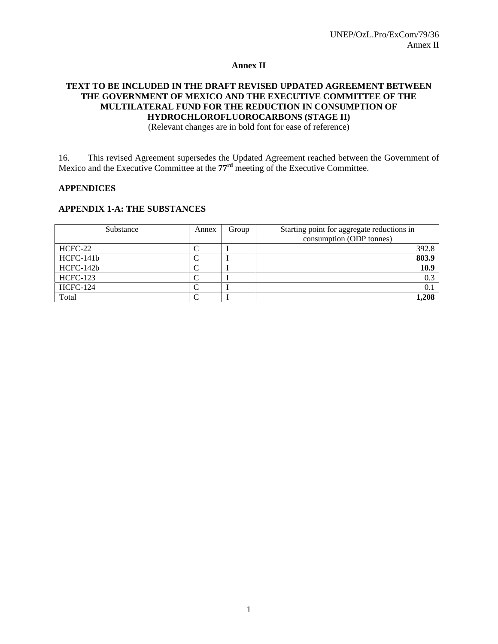#### **Annex II**

## **TEXT TO BE INCLUDED IN THE DRAFT REVISED UPDATED AGREEMENT BETWEEN THE GOVERNMENT OF MEXICO AND THE EXECUTIVE COMMITTEE OF THE MULTILATERAL FUND FOR THE REDUCTION IN CONSUMPTION OF HYDROCHLOROFLUOROCARBONS (STAGE II)**

(Relevant changes are in bold font for ease of reference)

16. This revised Agreement supersedes the Updated Agreement reached between the Government of Mexico and the Executive Committee at the **77rd** meeting of the Executive Committee.

#### **APPENDICES**

#### **APPENDIX 1-A: THE SUBSTANCES**

| Substance       | Annex | Group | Starting point for aggregate reductions in |
|-----------------|-------|-------|--------------------------------------------|
|                 |       |       | consumption (ODP tonnes)                   |
| HCFC-22         |       |       | 392.8                                      |
| HCFC-141b       |       |       | 803.9                                      |
| HCFC-142b       |       |       | 10.9                                       |
| <b>HCFC-123</b> |       |       | 0.3                                        |
| <b>HCFC-124</b> |       |       | 0.1                                        |
| Total           |       |       | 1,208                                      |